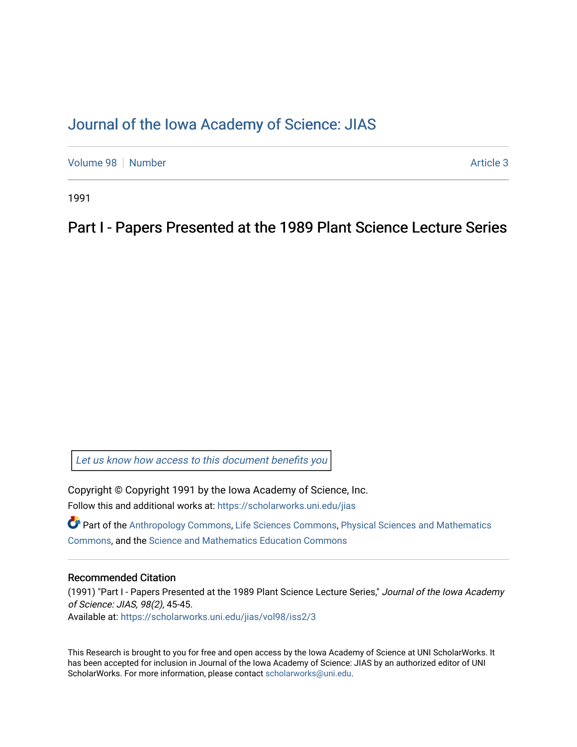# [Journal of the Iowa Academy of Science: JIAS](https://scholarworks.uni.edu/jias)

[Volume 98](https://scholarworks.uni.edu/jias/vol98) [Number](https://scholarworks.uni.edu/jias/vol98/iss2) **Article 3** Number **Article 3** Number **Article 3** Number **Article 3** 

1991

Part I - Papers Presented at the 1989 Plant Science Lecture Series

[Let us know how access to this document benefits you](https://scholarworks.uni.edu/feedback_form.html) 

Copyright © Copyright 1991 by the Iowa Academy of Science, Inc. Follow this and additional works at: [https://scholarworks.uni.edu/jias](https://scholarworks.uni.edu/jias?utm_source=scholarworks.uni.edu%2Fjias%2Fvol98%2Fiss2%2F3&utm_medium=PDF&utm_campaign=PDFCoverPages) 

Part of the [Anthropology Commons](http://network.bepress.com/hgg/discipline/318?utm_source=scholarworks.uni.edu%2Fjias%2Fvol98%2Fiss2%2F3&utm_medium=PDF&utm_campaign=PDFCoverPages), [Life Sciences Commons](http://network.bepress.com/hgg/discipline/1016?utm_source=scholarworks.uni.edu%2Fjias%2Fvol98%2Fiss2%2F3&utm_medium=PDF&utm_campaign=PDFCoverPages), [Physical Sciences and Mathematics](http://network.bepress.com/hgg/discipline/114?utm_source=scholarworks.uni.edu%2Fjias%2Fvol98%2Fiss2%2F3&utm_medium=PDF&utm_campaign=PDFCoverPages)  [Commons](http://network.bepress.com/hgg/discipline/114?utm_source=scholarworks.uni.edu%2Fjias%2Fvol98%2Fiss2%2F3&utm_medium=PDF&utm_campaign=PDFCoverPages), and the [Science and Mathematics Education Commons](http://network.bepress.com/hgg/discipline/800?utm_source=scholarworks.uni.edu%2Fjias%2Fvol98%2Fiss2%2F3&utm_medium=PDF&utm_campaign=PDFCoverPages) 

# Recommended Citation

(1991) "Part I - Papers Presented at the 1989 Plant Science Lecture Series," Journal of the Iowa Academy of Science: JIAS, 98(2), 45-45. Available at: [https://scholarworks.uni.edu/jias/vol98/iss2/3](https://scholarworks.uni.edu/jias/vol98/iss2/3?utm_source=scholarworks.uni.edu%2Fjias%2Fvol98%2Fiss2%2F3&utm_medium=PDF&utm_campaign=PDFCoverPages) 

This Research is brought to you for free and open access by the Iowa Academy of Science at UNI ScholarWorks. It has been accepted for inclusion in Journal of the Iowa Academy of Science: JIAS by an authorized editor of UNI ScholarWorks. For more information, please contact [scholarworks@uni.edu](mailto:scholarworks@uni.edu).